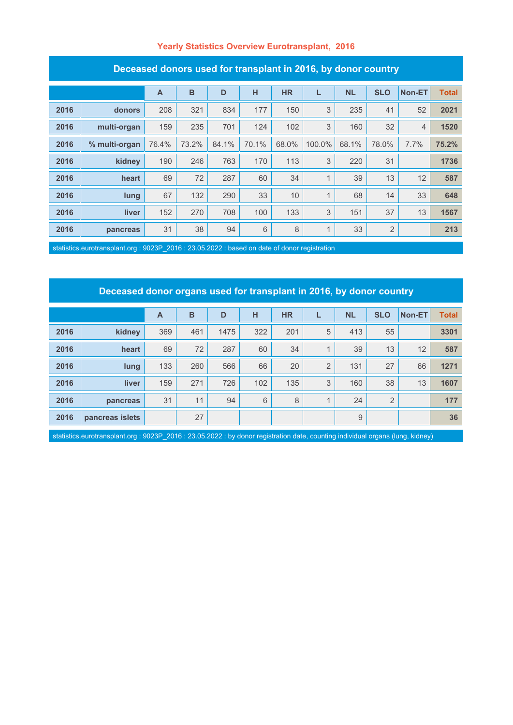#### **Yearly Statistics Overview Eurotransplant, 2016**

| Deceased donors ased for transplant in Z010, by donor country |               |                |       |       |       |           |        |           |                |                |              |
|---------------------------------------------------------------|---------------|----------------|-------|-------|-------|-----------|--------|-----------|----------------|----------------|--------------|
|                                                               |               | $\overline{A}$ | B     | D     | H     | <b>HR</b> | L      | <b>NL</b> | <b>SLO</b>     | Non-ET         | <b>Total</b> |
| 2016                                                          | donors        | 208            | 321   | 834   | 177   | 150       | 3      | 235       | 41             | 52             | 2021         |
| 2016                                                          | multi-organ   | 159            | 235   | 701   | 124   | 102       | 3      | 160       | 32             | $\overline{4}$ | 1520         |
| 2016                                                          | % multi-organ | 76.4%          | 73.2% | 84.1% | 70.1% | 68.0%     | 100.0% | 68.1%     | 78.0%          | 7.7%           | 75.2%        |
| 2016                                                          | kidney        | 190            | 246   | 763   | 170   | 113       | 3      | 220       | 31             |                | 1736         |
| 2016                                                          | heart         | 69             | 72    | 287   | 60    | 34        | 1      | 39        | 13             | 12             | 587          |
| 2016                                                          | lung          | 67             | 132   | 290   | 33    | 10        | 1      | 68        | 14             | 33             | 648          |
| 2016                                                          | liver         | 152            | 270   | 708   | 100   | 133       | 3      | 151       | 37             | 13             | 1567         |
| 2016                                                          | pancreas      | 31             | 38    | 94    | 6     | 8         | 1      | 33        | $\overline{2}$ |                | 213          |

#### **Deceased donors used for transplant in 2016, by donor country**

statistics.eurotransplant.org : 9023P\_2016 : 23.05.2022 : based on date of donor registration

# **Deceased donor organs used for transplant in 2016, by donor country**

|      |                 | $\overline{A}$ | B   | D    | н   | <b>HR</b> |                | <b>NL</b> | <b>SLO</b> | Non-ET | <b>Total</b> |
|------|-----------------|----------------|-----|------|-----|-----------|----------------|-----------|------------|--------|--------------|
| 2016 | kidney          | 369            | 461 | 1475 | 322 | 201       | 5              | 413       | 55         |        | 3301         |
| 2016 | heart           | 69             | 72  | 287  | 60  | 34        | $\overline{A}$ | 39        | 13         | 12     | 587          |
| 2016 | lung            | 133            | 260 | 566  | 66  | 20        | $\overline{2}$ | 131       | 27         | 66     | 1271         |
| 2016 | <b>liver</b>    | 159            | 271 | 726  | 102 | 135       | 3              | 160       | 38         | 13     | 1607         |
| 2016 | pancreas        | 31             | 11  | 94   | 6   | 8         |                | 24        | 2          |        | 177          |
| 2016 | pancreas islets |                | 27  |      |     |           |                | 9         |            |        | 36           |

statistics.eurotransplant.org : 9023P\_2016 : 23.05.2022 : by donor registration date, counting individual organs (lung, kidney)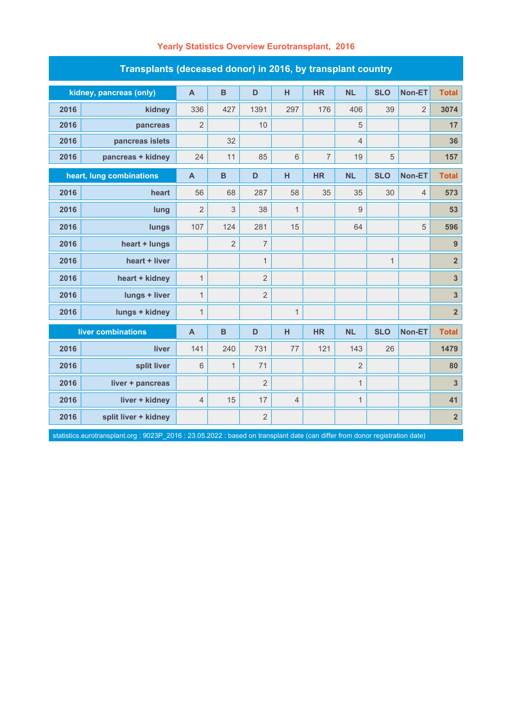| Transplants (deceased donor) in 2016, by transplant country                                                                  |                         |                         |                |                |                |                |                |              |                |                         |  |
|------------------------------------------------------------------------------------------------------------------------------|-------------------------|-------------------------|----------------|----------------|----------------|----------------|----------------|--------------|----------------|-------------------------|--|
|                                                                                                                              | kidney, pancreas (only) | $\mathsf{A}$            | $\mathbf B$    | D              | н              | <b>HR</b>      | <b>NL</b>      | <b>SLO</b>   | Non-ET         | <b>Total</b>            |  |
| 2016                                                                                                                         | kidney                  | 336                     | 427            | 1391           | 297            | 176            | 406            | 39           | $\overline{2}$ | 3074                    |  |
| 2016                                                                                                                         | pancreas                | $\overline{2}$          |                | 10             |                |                | 5              |              |                | 17                      |  |
| 2016                                                                                                                         | pancreas islets         |                         | 32             |                |                |                | $\overline{4}$ |              |                | 36                      |  |
| 2016                                                                                                                         | pancreas + kidney       | 24                      | 11             | 85             | 6              | $\overline{7}$ | 19             | 5            |                | 157                     |  |
| heart, lung combinations                                                                                                     |                         | $\overline{\mathsf{A}}$ | B              | D              | H              | <b>HR</b>      | <b>NL</b>      | <b>SLO</b>   | Non-ET         | <b>Total</b>            |  |
| 2016                                                                                                                         | heart                   | 56                      | 68             | 287            | 58             | 35             | 35             | 30           | 4              | 573                     |  |
| 2016                                                                                                                         | lung                    | $\overline{2}$          | 3              | 38             | $\mathbf{1}$   |                | 9              |              |                | 53                      |  |
| 2016                                                                                                                         | lungs                   | 107                     | 124            | 281            | 15             |                | 64             |              | 5              | 596                     |  |
| 2016                                                                                                                         | heart + lungs           |                         | $\overline{2}$ | $\overline{7}$ |                |                |                |              |                | 9                       |  |
| 2016                                                                                                                         | heart + liver           |                         |                | $\mathbf{1}$   |                |                |                | $\mathbf{1}$ |                | $\overline{\mathbf{2}}$ |  |
| 2016                                                                                                                         | heart + kidney          | $\mathbf{1}$            |                | $\overline{2}$ |                |                |                |              |                | $\overline{\mathbf{3}}$ |  |
| 2016                                                                                                                         | lungs + liver           | $\mathbf{1}$            |                | $\overline{2}$ |                |                |                |              |                | $\mathbf{3}$            |  |
| 2016                                                                                                                         | lungs + kidney          | $\mathbf{1}$            |                |                | $\mathbf{1}$   |                |                |              |                | $\overline{\mathbf{2}}$ |  |
|                                                                                                                              | liver combinations      | $\mathsf{A}$            | B              | D              | н              | <b>HR</b>      | <b>NL</b>      | <b>SLO</b>   | Non-ET         | <b>Total</b>            |  |
| 2016                                                                                                                         | liver                   | 141                     | 240            | 731            | 77             | 121            | 143            | 26           |                | 1479                    |  |
| 2016                                                                                                                         | split liver             | 6                       | $\mathbf{1}$   | 71             |                |                | $\overline{2}$ |              |                | 80                      |  |
| 2016                                                                                                                         | liver + pancreas        |                         |                | $\overline{2}$ |                |                | $\mathbf{1}$   |              |                | $\overline{3}$          |  |
| 2016                                                                                                                         | liver + kidney          | $\overline{4}$          | 15             | 17             | $\overline{4}$ |                | $\mathbf 1$    |              |                | 41                      |  |
| 2016                                                                                                                         | split liver + kidney    |                         |                | $\overline{2}$ |                |                |                |              |                | $\overline{\mathbf{2}}$ |  |
| statistics.eurotransplant.org : 9023P_2016 : 23.05.2022 : based on transplant date (can differ from donor registration date) |                         |                         |                |                |                |                |                |              |                |                         |  |

### **Yearly Statistics Overview Eurotransplant, 2016**